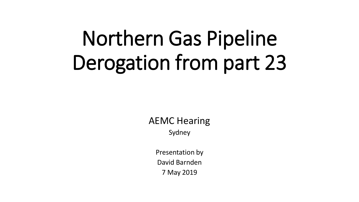# Northern Gas Pipeline Derogation from part 23

AEMC Hearing

Sydney

Presentation by David Barnden 7 May 2019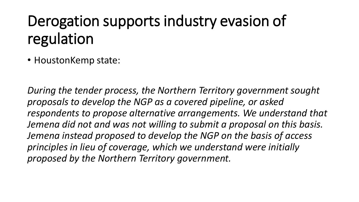# Derogation supports industry evasion of regulation

• HoustonKemp state:

*During the tender process, the Northern Territory government sought proposals to develop the NGP as a covered pipeline, or asked respondents to propose alternative arrangements. We understand that Jemena did not and was not willing to submit a proposal on this basis. Jemena instead proposed to develop the NGP on the basis of access principles in lieu of coverage, which we understand were initially proposed by the Northern Territory government.*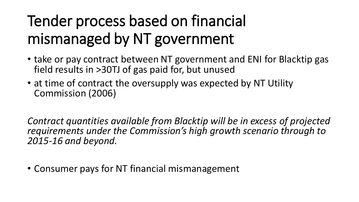# Tender process based on financial mismanaged by NT government

- take or pay contract between NT government and ENI for Blacktip gas field results in >30TJ of gas paid for, but unused
- at time of contract the oversupply was expected by NT Utility Commission (2006)

*Contract quantities available from Blacktip will be in excess of projected requirements under the Commission's high growth scenario through to 2015-16 and beyond.* 

• Consumer pays for NT financial mismanagement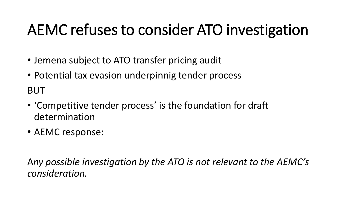# AEMC refuses to consider ATO investigation

- Jemena subject to ATO transfer pricing audit
- Potential tax evasion underpinnig tender process

BUT

- 'Competitive tender process' is the foundation for draft determination
- AEMC response:

A*ny possible investigation by the ATO is not relevant to the AEMC's consideration.*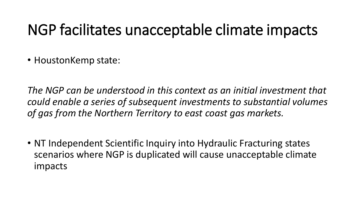#### NGP facilitates unacceptable climate impacts

• HoustonKemp state:

*The NGP can be understood in this context as an initial investment that could enable a series of subsequent investments to substantial volumes of gas from the Northern Territory to east coast gas markets.* 

• NT Independent Scientific Inquiry into Hydraulic Fracturing states scenarios where NGP is duplicated will cause unacceptable climate impacts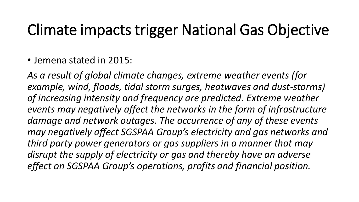#### Climate impacts trigger National Gas Objective

• Jemena stated in 2015:

*As a result of global climate changes, extreme weather events (for example, wind, floods, tidal storm surges, heatwaves and dust-storms) of increasing intensity and frequency are predicted. Extreme weather events may negatively affect the networks in the form of infrastructure damage and network outages. The occurrence of any of these events may negatively affect SGSPAA Group's electricity and gas networks and third party power generators or gas suppliers in a manner that may disrupt the supply of electricity or gas and thereby have an adverse effect on SGSPAA Group's operations, profits and financial position.*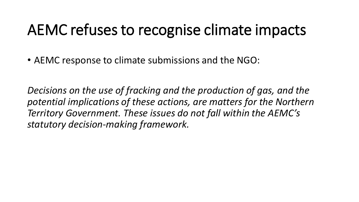#### AEMC refuses to recognise climate impacts

• AEMC response to climate submissions and the NGO:

*Decisions on the use of fracking and the production of gas, and the potential implications of these actions, are matters for the Northern Territory Government. These issues do not fall within the AEMC's statutory decision-making framework.*